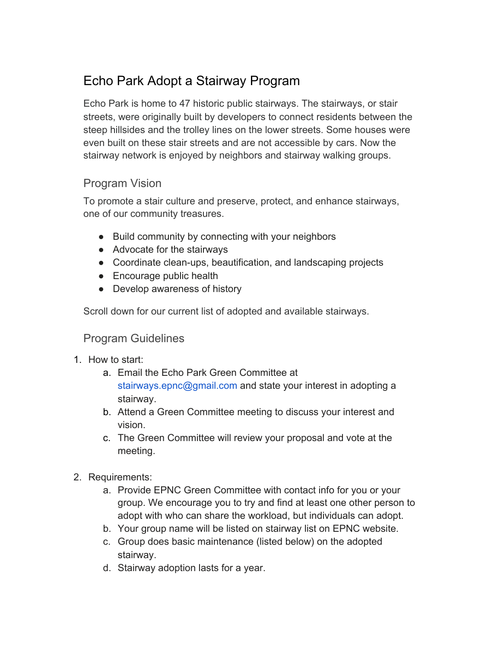# Echo Park Adopt a Stairway Program

Echo Park is home to 47 historic public stairways. The stairways, or stair streets, were originally built by developers to connect residents between the steep hillsides and the trolley lines on the lower streets. Some houses were even built on these stair streets and are not accessible by cars. Now the stairway network is enjoyed by neighbors and stairway walking groups.

## Program Vision

To promote a stair culture and preserve, protect, and enhance stairways, one of our community treasures.

- Build community by connecting with your neighbors
- Advocate for the stairways
- Coordinate clean-ups, beautification, and landscaping projects
- Encourage public health
- Develop awareness of history

Scroll down for our current list of adopted and available stairways.

### Program Guidelines

- 1. How to start:
	- a. Email the Echo Park Green Committee at stairways.epnc@gmail.com and state your interest in adopting a stairway.
	- b. Attend a Green Committee meeting to discuss your interest and vision.
	- c. The Green Committee will review your proposal and vote at the meeting.
- 2. Requirements:
	- a. Provide EPNC Green Committee with contact info for you or your group. We encourage you to try and find at least one other person to adopt with who can share the workload, but individuals can adopt.
	- b. Your group name will be listed on stairway list on EPNC website.
	- c. Group does basic maintenance (listed below) on the adopted stairway.
	- d. Stairway adoption lasts for a year.